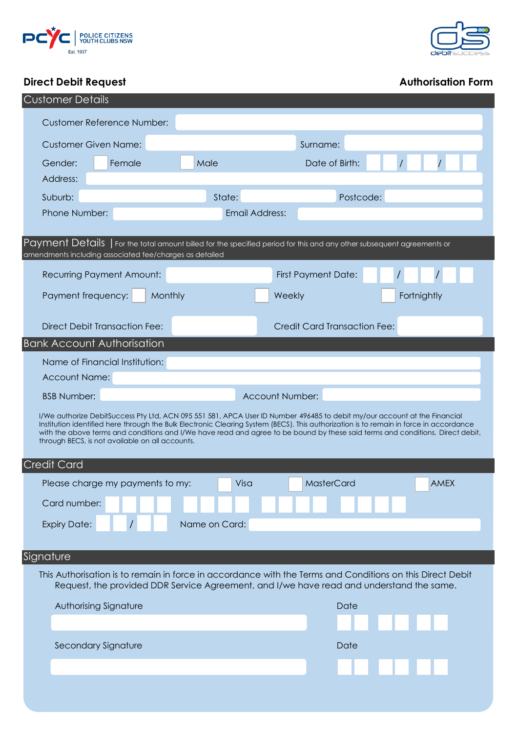



# **Direct Debit Request Authorisation Form**

| <b>Customer Details</b>                                                                                                                                                                                                                                                                                                                                                                                                                                  |                                                                                                                        |
|----------------------------------------------------------------------------------------------------------------------------------------------------------------------------------------------------------------------------------------------------------------------------------------------------------------------------------------------------------------------------------------------------------------------------------------------------------|------------------------------------------------------------------------------------------------------------------------|
| <b>Customer Reference Number:</b>                                                                                                                                                                                                                                                                                                                                                                                                                        |                                                                                                                        |
| <b>Customer Given Name:</b>                                                                                                                                                                                                                                                                                                                                                                                                                              | Surname:                                                                                                               |
| Gender:<br>Female<br>Male                                                                                                                                                                                                                                                                                                                                                                                                                                | Date of Birth:                                                                                                         |
| Address:                                                                                                                                                                                                                                                                                                                                                                                                                                                 |                                                                                                                        |
| Suburb:                                                                                                                                                                                                                                                                                                                                                                                                                                                  | State:<br>Postcode:                                                                                                    |
| Phone Number:                                                                                                                                                                                                                                                                                                                                                                                                                                            | <b>Email Address:</b>                                                                                                  |
|                                                                                                                                                                                                                                                                                                                                                                                                                                                          |                                                                                                                        |
| amendments including associated fee/charges as detailed                                                                                                                                                                                                                                                                                                                                                                                                  | Payment Details   For the total amount billed for the specified period for this and any other subsequent agreements or |
| <b>Recurring Payment Amount:</b>                                                                                                                                                                                                                                                                                                                                                                                                                         | <b>First Payment Date:</b>                                                                                             |
| Payment frequency:<br>Monthly                                                                                                                                                                                                                                                                                                                                                                                                                            | Weekly<br>Fortnightly                                                                                                  |
|                                                                                                                                                                                                                                                                                                                                                                                                                                                          |                                                                                                                        |
| <b>Direct Debit Transaction Fee:</b>                                                                                                                                                                                                                                                                                                                                                                                                                     | <b>Credit Card Transaction Fee:</b>                                                                                    |
| <b>Bank Account Authorisation</b>                                                                                                                                                                                                                                                                                                                                                                                                                        |                                                                                                                        |
| Name of Financial Institution:                                                                                                                                                                                                                                                                                                                                                                                                                           |                                                                                                                        |
| <b>Account Name:</b>                                                                                                                                                                                                                                                                                                                                                                                                                                     |                                                                                                                        |
| <b>BSB Number:</b>                                                                                                                                                                                                                                                                                                                                                                                                                                       | <b>Account Number:</b>                                                                                                 |
| I/We authorize DebitSuccess Pty Ltd, ACN 095 551 581, APCA User ID Number 496485 to debit my/our account at the Financial<br>Institution identified here through the Bulk Electronic Clearing System (BECS). This authorization is to remain in force in accordance<br>with the above terms and conditions and I/We have read and agree to be bound by these said terms and conditions. Direct debit,<br>through BECS, is not available on all accounts. |                                                                                                                        |
| <b>Credit Card</b>                                                                                                                                                                                                                                                                                                                                                                                                                                       |                                                                                                                        |
| Please charge my payments to my:                                                                                                                                                                                                                                                                                                                                                                                                                         | Visa<br><b>AMEX</b><br>MasterCard                                                                                      |
| Card number:                                                                                                                                                                                                                                                                                                                                                                                                                                             |                                                                                                                        |
|                                                                                                                                                                                                                                                                                                                                                                                                                                                          |                                                                                                                        |
| Name on Card:<br><b>Expiry Date:</b>                                                                                                                                                                                                                                                                                                                                                                                                                     |                                                                                                                        |
|                                                                                                                                                                                                                                                                                                                                                                                                                                                          |                                                                                                                        |
| Signature                                                                                                                                                                                                                                                                                                                                                                                                                                                |                                                                                                                        |
| This Authorisation is to remain in force in accordance with the Terms and Conditions on this Direct Debit<br>Request, the provided DDR Service Agreement, and I/we have read and understand the same.                                                                                                                                                                                                                                                    |                                                                                                                        |
| Authorising Signature                                                                                                                                                                                                                                                                                                                                                                                                                                    | Date                                                                                                                   |
|                                                                                                                                                                                                                                                                                                                                                                                                                                                          |                                                                                                                        |
| Secondary Signature                                                                                                                                                                                                                                                                                                                                                                                                                                      | Date                                                                                                                   |
|                                                                                                                                                                                                                                                                                                                                                                                                                                                          |                                                                                                                        |
|                                                                                                                                                                                                                                                                                                                                                                                                                                                          |                                                                                                                        |